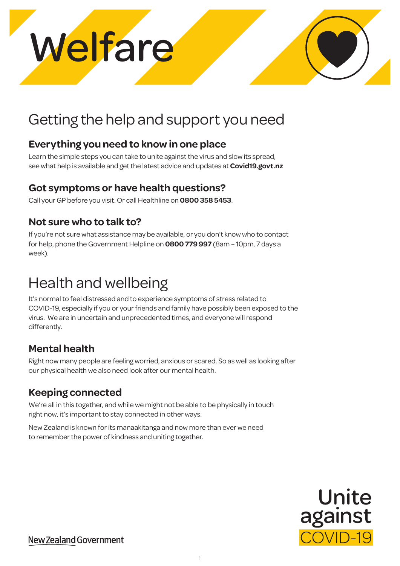## Getting the help and support you need

## **Everything you need to know in one place**

Learn the simple steps you can take to unite against the virus and slow its spread, see what help is available and get the latest advice and updates at **[Covid19.govt.nz](http://Covid19.govt.nz)**

## **Got symptoms or have health questions?**

Call your GP before you visit. Or call Healthline on **0800 358 5453**.

## **Not sure who to talk to?**

If you're not sure what assistance may be available, or you don't know who to contact for help, phone the Government Helpline on **0800 779 997** (8am – 10pm, 7 days a week).

## Health and wellbeing

It's normal to feel distressed and to experience symptoms of stress related to COVID-19, especially if you or your friends and family have possibly been exposed to the virus. We are in uncertain and unprecedented times, and everyone will respond differently.

## **Mental health**

Right now many people are feeling worried, anxious or scared. So as well as looking after our physical health we also need look after our mental health.

## **Keeping connected**

We're all in this together, and while we might not be able to be physically in touch right now, it's important to stay connected in other ways.

New Zealand is known for its manaakitanga and now more than ever we need to remember the power of kindness and uniting together.



New Zealand Government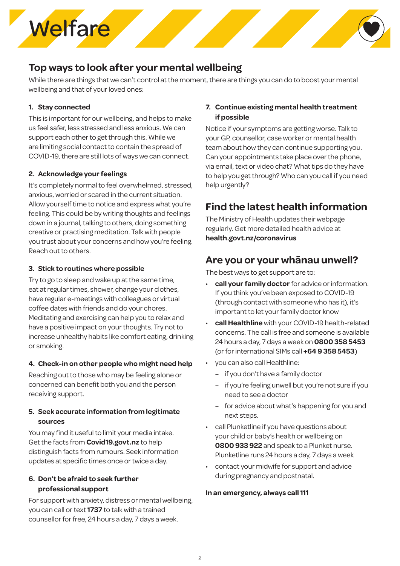

## **Top ways to look after your mental wellbeing**

While there are things that we can't control at the moment, there are things you can do to boost your mental wellbeing and that of your loved ones:

### **1. Stay connected**

This is important for our wellbeing, and helps to make us feel safer, less stressed and less anxious. We can support each other to get through this. While we are limiting social contact to contain the spread of COVID-19, there are still lots of ways we can connect.

### **2. Acknowledge your feelings**

It's completely normal to feel overwhelmed, stressed, anxious, worried or scared in the current situation. Allow yourself time to notice and express what you're feeling. This could be by writing thoughts and feelings down in a journal, talking to others, doing something creative or practising meditation. Talk with people you trust about your concerns and how you're feeling. Reach out to others.

#### **3. Stick to routines where possible**

Try to go to sleep and wake up at the same time, eat at regular times, shower, change your clothes, have regular e-meetings with colleagues or virtual coffee dates with friends and do your chores. Meditating and exercising can help you to relax and have a positive impact on your thoughts. Try not to increase unhealthy habits like comfort eating, drinking or smoking.

### **4. Check-in on other people who might need help**

Reaching out to those who may be feeling alone or concerned can benefit both you and the person receiving support.

### **5. Seek accurate information from legitimate sources**

You may find it useful to limit your media intake. Get the facts from **[Covid19.govt.nz](http://Covid19.govt.nz)** to help distinguish facts from rumours. Seek information updates at specific times once or twice a day.

### **6. Don't be afraid to seek further professional support**

For support with anxiety, distress or mental wellbeing, you can call or text **1737** to talk with a trained counsellor for free, 24 hours a day, 7 days a week.

### **7. Continue existing mental health treatment if possible**

Notice if your symptoms are getting worse. Talk to your GP, counsellor, case worker or mental health team about how they can continue supporting you. Can your appointments take place over the phone, via email, text or video chat? What tips do they have to help you get through? Who can you call if you need help urgently?

## **Find the latest health information**

The Ministry of Health updates their webpage regularly. Get more detailed health advice at **[health.govt.nz/coronavirus](http://health.govt.nz/coronavirus)**

### **Are you or your whānau unwell?**

The best ways to get support are to:

- **call your family doctor** for advice or information. If you think you've been exposed to COVID-19 (through contact with someone who has it), it's important to let your family doctor know
- **call Healthline** with your COVID-19 health-related concerns. The call is free and someone is available 24 hours a day, 7 days a week on **0800 358 5453** (or for international SIMs call **+64 9 358 5453**)
- you can also call Healthline:
	- if you don't have a family doctor
	- if you're feeling unwell but you're not sure if you need to see a doctor
	- for advice about what's happening for you and next steps.
- call Plunketline if you have questions about your child or baby's health or wellbeing on **0800 933 922** and speak to a Plunket nurse. Plunketline runs 24 hours a day, 7 days a week
- contact your midwife for support and advice during pregnancy and postnatal.

#### **In an emergency, always call 111**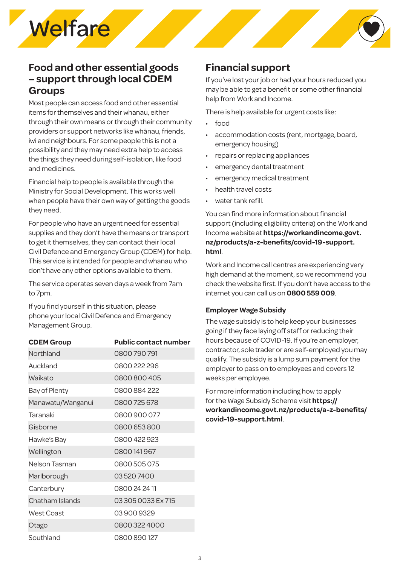## **Food and other essential goods – support through local CDEM Groups**

Most people can access food and other essential items for themselves and their whanau, either through their own means or through their community providers or support networks like whānau, friends, iwi and neighbours. For some people this is not a possibility and they may need extra help to access the things they need during self-isolation, like food and medicines.

Financial help to people is available through the Ministry for Social Development. This works well when people have their own way of getting the goods they need.

For people who have an urgent need for essential supplies and they don't have the means or transport to get it themselves, they can contact their local Civil Defence and Emergency Group (CDEM) for help. This service is intended for people and whanau who don't have any other options available to them.

The service operates seven days a week from 7am to 7pm.

If you find yourself in this situation, please phone your local Civil Defence and Emergency Management Group.

| <b>CDEM Group</b> | <b>Public contact number</b> |
|-------------------|------------------------------|
| Northland         | 0800790791                   |
| Auckland          | 0800222296                   |
| Waikato           | 0800800405                   |
| Bay of Plenty     | 0800884222                   |
| Manawatu/Wanganui | 0800725678                   |
| Taranaki          | 0800900077                   |
| Gisborne          | 0800 653 800                 |
| Hawke's Bay       | 0800 422 923                 |
| Wellington        | 0800141967                   |
| Nelson Tasman     | 0800505075                   |
| Marlborough       | 035207400                    |
| Canterbury        | 0800242411                   |
| Chatham Islands   | 03 305 0033 Ex 715           |
| <b>West Coast</b> | 039009329                    |
| Otago             | 08003224000                  |
| Southland         | 0800890127                   |

## **Financial support**

If you've lost your job or had your hours reduced you may be able to get a benefit or some other financial help from Work and Income.

There is help available for urgent costs like:

- food
- accommodation costs (rent, mortgage, board, emergency housing)
- repairs or replacing appliances
- emergency dental treatment
- emergency medical treatment
- health travel costs
- water tank refill.

You can find more information about financial support (including eligibility criteria) on the Work and Income website at **[https://workandincome.govt.](https://workandincome.govt.nz/products/a-z-benefits/covid-19-support.html) [nz/products/a-z-benefits/covid-19-support.](https://workandincome.govt.nz/products/a-z-benefits/covid-19-support.html) [html](https://workandincome.govt.nz/products/a-z-benefits/covid-19-support.html)**.

Work and Income call centres are experiencing very high demand at the moment, so we recommend you check the website first. If you don't have access to the internet you can call us on **0800 559 009**.

### **Employer Wage Subsidy**

The wage subsidy is to help keep your businesses going if they face laying off staff or reducing their hours because of COVID-19. If you're an employer, contractor, sole trader or are self-employed you may qualify. The subsidy is a lump sum payment for the employer to pass on to employees and covers 12 weeks per employee.

For more information including how to apply for the Wage Subsidy Scheme visit **[https://](https://workandincome.govt.nz/products/a-z-benefits/covid-19-support.html) [workandincome.govt.nz/products/a-z-benefits/](https://workandincome.govt.nz/products/a-z-benefits/covid-19-support.html) [covid-19-support.html](https://workandincome.govt.nz/products/a-z-benefits/covid-19-support.html)**.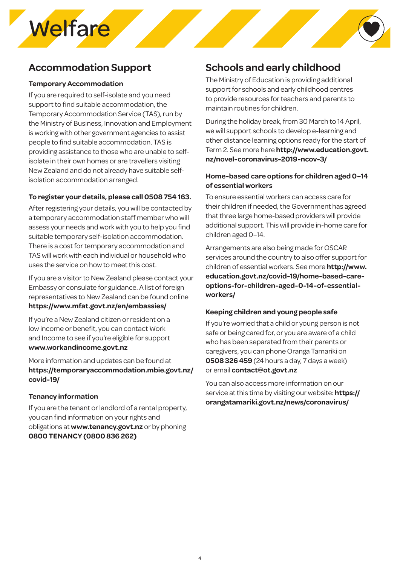## **Accommodation Support**

#### **Temporary Accommodation**

If you are required to self-isolate and you need support to find suitable accommodation, the Temporary Accommodation Service (TAS), run by the Ministry of Business, Innovation and Employment is working with other government agencies to assist people to find suitable accommodation. TAS is providing assistance to those who are unable to selfisolate in their own homes or are travellers visiting New Zealand and do not already have suitable selfisolation accommodation arranged.

### **To register your details, please call 0508 754 163.**

After registering your details, you will be contacted by a temporary accommodation staff member who will assess your needs and work with you to help you find suitable temporary self-isolation accommodation. There is a cost for temporary accommodation and TAS will work with each individual or household who uses the service on how to meet this cost.

If you are a visitor to New Zealand please contact your Embassy or consulate for guidance. A list of foreign representatives to New Zealand can be found online **<https://www.mfat.govt.nz/en/embassies/>**

If you're a New Zealand citizen or resident on a low income or benefit, you can contact Work and Income to see if you're eligible for support **[www.workandincome.govt.nz](http://www.workandincome.govt.nz)**

More information and updates can be found at **[https://temporaryaccommodation.mbie.govt.nz/](https://temporaryaccommodation.mbie.govt.nz/covid-19/) [covid-19/](https://temporaryaccommodation.mbie.govt.nz/covid-19/)**

### **Tenancy information**

If you are the tenant or landlord of a rental property, you can find information on your rights and obligations at **www.tenancy.govt.nz** or by phoning **0800 TENANCY (0800 836 262)** 

## **Schools and early childhood**

The Ministry of Education is providing additional support for schools and early childhood centres to provide resources for teachers and parents to maintain routines for children.

During the holiday break, from 30 March to 14 April, we will support schools to develop e-learning and other distance learning options ready for the start of Term 2. See more here **[http://www.education.govt.](http://www.education.govt.nz/novel-coronavirus-2019-ncov-3/) [nz/novel-coronavirus-2019-ncov-3/](http://www.education.govt.nz/novel-coronavirus-2019-ncov-3/)**

### **Home-based care options for children aged 0–14 of essential workers**

To ensure essential workers can access care for their children if needed, the Government has agreed that three large home-based providers will provide additional support. This will provide in-home care for children aged 0–14.

Arrangements are also being made for OSCAR services around the country to also offer support for children of essential workers. See more **[http://www.](http://www.education.govt.nz/covid-19/home-based-care-options-for-children-aged-0-14-of-essential-wo) [education.govt.nz/covid-19/home-based-care](http://www.education.govt.nz/covid-19/home-based-care-options-for-children-aged-0-14-of-essential-wo)[options-for-children-aged-0-14-of-essential](http://www.education.govt.nz/covid-19/home-based-care-options-for-children-aged-0-14-of-essential-wo)[workers/](http://www.education.govt.nz/covid-19/home-based-care-options-for-children-aged-0-14-of-essential-wo)**

### **Keeping children and young people safe**

If you're worried that a child or young person is not safe or being cared for, or you are aware of a child who has been separated from their parents or caregivers, you can phone Oranga Tamariki on **0508 326 459** (24 hours a day, 7 days a week) or email **contact@ot.govt.nz**

You can also access more information on our service at this time by visiting our website: **[https://](https://orangatamariki.govt.nz/news/coronavirus/) [orangatamariki.govt.nz/news/coronavirus/](https://orangatamariki.govt.nz/news/coronavirus/)**